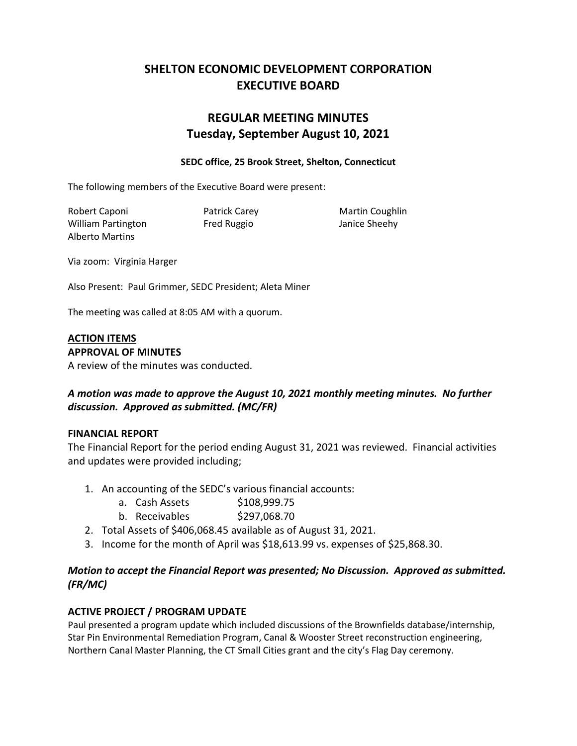# **SHELTON ECONOMIC DEVELOPMENT CORPORATION EXECUTIVE BOARD**

# **REGULAR MEETING MINUTES Tuesday, September August 10, 2021**

#### **SEDC office, 25 Brook Street, Shelton, Connecticut**

The following members of the Executive Board were present:

Robert Caponi **Patrick Carey Constructs** Martin Coughlin William Partington Fred Ruggio Janice Sheehy Alberto Martins

Via zoom: Virginia Harger

Also Present: Paul Grimmer, SEDC President; Aleta Miner

The meeting was called at 8:05 AM with a quorum.

#### **ACTION ITEMS APPROVAL OF MINUTES**

A review of the minutes was conducted.

## *A motion was made to approve the August 10, 2021 monthly meeting minutes. No further discussion. Approved as submitted. (MC/FR)*

#### **FINANCIAL REPORT**

The Financial Report for the period ending August 31, 2021 was reviewed. Financial activities and updates were provided including;

- 1. An accounting of the SEDC's various financial accounts:
	- a. Cash Assets \$108,999.75
	- b. Receivables \$297,068.70
- 2. Total Assets of \$406,068.45 available as of August 31, 2021.
- 3. Income for the month of April was \$18,613.99 vs. expenses of \$25,868.30.

### *Motion to accept the Financial Report was presented; No Discussion. Approved as submitted. (FR/MC)*

## **ACTIVE PROJECT / PROGRAM UPDATE**

Paul presented a program update which included discussions of the Brownfields database/internship, Star Pin Environmental Remediation Program, Canal & Wooster Street reconstruction engineering, Northern Canal Master Planning, the CT Small Cities grant and the city's Flag Day ceremony.